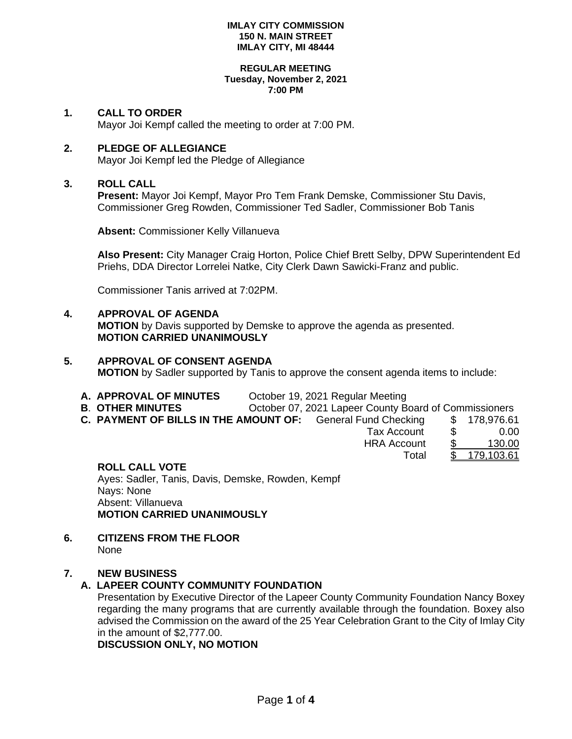### **REGULAR MEETING Tuesday, November 2, 2021 7:00 PM**

# **1. CALL TO ORDER**

Mayor Joi Kempf called the meeting to order at 7:00 PM.

# **2. PLEDGE OF ALLEGIANCE**

Mayor Joi Kempf led the Pledge of Allegiance

# **3. ROLL CALL**

**Present:** Mayor Joi Kempf, Mayor Pro Tem Frank Demske, Commissioner Stu Davis, Commissioner Greg Rowden, Commissioner Ted Sadler, Commissioner Bob Tanis

**Absent:** Commissioner Kelly Villanueva

**Also Present:** City Manager Craig Horton, Police Chief Brett Selby, DPW Superintendent Ed Priehs, DDA Director Lorrelei Natke, City Clerk Dawn Sawicki-Franz and public.

Commissioner Tanis arrived at 7:02PM.

### **4. APPROVAL OF AGENDA MOTION** by Davis supported by Demske to approve the agenda as presented. **MOTION CARRIED UNANIMOUSLY**

# **5. APPROVAL OF CONSENT AGENDA MOTION** by Sadler supported by Tanis to approve the consent agenda items to include:

- **A. APPROVAL OF MINUTES** October 19, 2021 Regular Meeting
- **B. OTHER MINUTES Deta Constrainer County Board of Commissioners**
- **C. PAYMENT OF BILLS IN THE AMOUNT OF:** General Fund Checking \$ 178,976.61

| Tax Account        | S | 0.00       |
|--------------------|---|------------|
| <b>HRA Account</b> |   | 130.00     |
| Total              |   | 179,103.61 |

# **ROLL CALL VOTE**

Ayes: Sadler, Tanis, Davis, Demske, Rowden, Kempf Nays: None Absent: Villanueva **MOTION CARRIED UNANIMOUSLY**

**6. CITIZENS FROM THE FLOOR** None

# **7. NEW BUSINESS**

# **A. LAPEER COUNTY COMMUNITY FOUNDATION**

Presentation by Executive Director of the Lapeer County Community Foundation Nancy Boxey regarding the many programs that are currently available through the foundation. Boxey also advised the Commission on the award of the 25 Year Celebration Grant to the City of Imlay City in the amount of \$2,777.00.

**DISCUSSION ONLY, NO MOTION**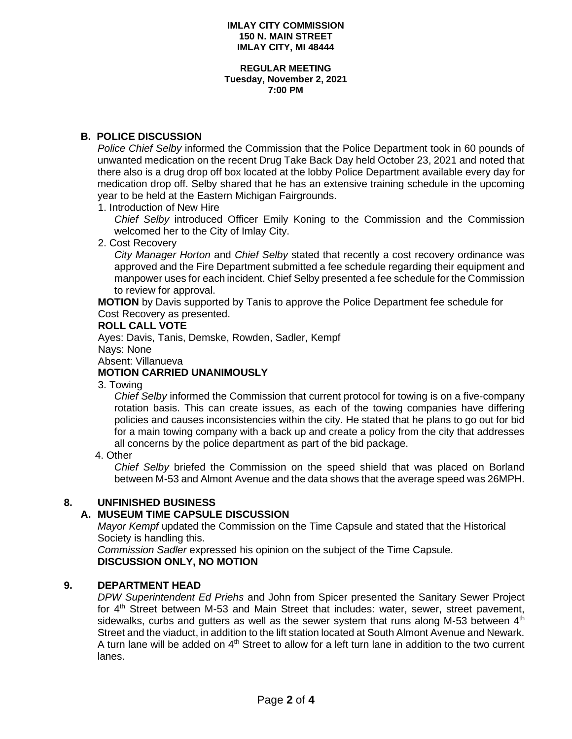#### **REGULAR MEETING Tuesday, November 2, 2021 7:00 PM**

# **B. POLICE DISCUSSION**

*Police Chief Selby* informed the Commission that the Police Department took in 60 pounds of unwanted medication on the recent Drug Take Back Day held October 23, 2021 and noted that there also is a drug drop off box located at the lobby Police Department available every day for medication drop off. Selby shared that he has an extensive training schedule in the upcoming year to be held at the Eastern Michigan Fairgrounds.

1. Introduction of New Hire

*Chief Selby* introduced Officer Emily Koning to the Commission and the Commission welcomed her to the City of Imlay City.

2. Cost Recovery

*City Manager Horton* and *Chief Selby* stated that recently a cost recovery ordinance was approved and the Fire Department submitted a fee schedule regarding their equipment and manpower uses for each incident. Chief Selby presented a fee schedule for the Commission to review for approval.

**MOTION** by Davis supported by Tanis to approve the Police Department fee schedule for Cost Recovery as presented.

### **ROLL CALL VOTE**

 Ayes: Davis, Tanis, Demske, Rowden, Sadler, Kempf Nays: None

Absent: Villanueva

# **MOTION CARRIED UNANIMOUSLY**

3. Towing

*Chief Selby* informed the Commission that current protocol for towing is on a five-company rotation basis. This can create issues, as each of the towing companies have differing policies and causes inconsistencies within the city. He stated that he plans to go out for bid for a main towing company with a back up and create a policy from the city that addresses all concerns by the police department as part of the bid package.

4. Other

*Chief Selby* briefed the Commission on the speed shield that was placed on Borland between M-53 and Almont Avenue and the data shows that the average speed was 26MPH.

### **8. UNFINISHED BUSINESS**

# **A. MUSEUM TIME CAPSULE DISCUSSION**

*Mayor Kempf* updated the Commission on the Time Capsule and stated that the Historical Society is handling this.

*Commission Sadler* expressed his opinion on the subject of the Time Capsule. **DISCUSSION ONLY, NO MOTION**

### **9. DEPARTMENT HEAD**

*DPW Superintendent Ed Priehs* and John from Spicer presented the Sanitary Sewer Project for 4<sup>th</sup> Street between M-53 and Main Street that includes: water, sewer, street pavement, sidewalks, curbs and gutters as well as the sewer system that runs along M-53 between  $4<sup>th</sup>$ Street and the viaduct, in addition to the lift station located at South Almont Avenue and Newark. A turn lane will be added on  $4<sup>th</sup>$  Street to allow for a left turn lane in addition to the two current lanes.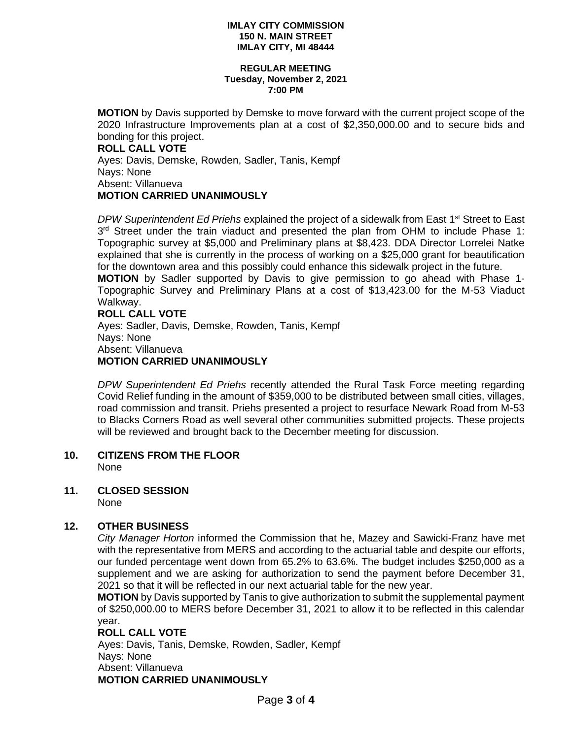#### **REGULAR MEETING Tuesday, November 2, 2021 7:00 PM**

**MOTION** by Davis supported by Demske to move forward with the current project scope of the 2020 Infrastructure Improvements plan at a cost of \$2,350,000.00 and to secure bids and bonding for this project. **ROLL CALL VOTE** Ayes: Davis, Demske, Rowden, Sadler, Tanis, Kempf Nays: None

Absent: Villanueva

# **MOTION CARRIED UNANIMOUSLY**

*DPW Superintendent Ed Priehs* explained the project of a sidewalk from East 1<sup>st</sup> Street to East  $3<sup>rd</sup>$  Street under the train viaduct and presented the plan from OHM to include Phase 1: Topographic survey at \$5,000 and Preliminary plans at \$8,423. DDA Director Lorrelei Natke explained that she is currently in the process of working on a \$25,000 grant for beautification for the downtown area and this possibly could enhance this sidewalk project in the future.

**MOTION** by Sadler supported by Davis to give permission to go ahead with Phase 1- Topographic Survey and Preliminary Plans at a cost of \$13,423.00 for the M-53 Viaduct Walkway.

# **ROLL CALL VOTE**

Ayes: Sadler, Davis, Demske, Rowden, Tanis, Kempf Nays: None Absent: Villanueva **MOTION CARRIED UNANIMOUSLY**

*DPW Superintendent Ed Priehs* recently attended the Rural Task Force meeting regarding Covid Relief funding in the amount of \$359,000 to be distributed between small cities, villages, road commission and transit. Priehs presented a project to resurface Newark Road from M-53 to Blacks Corners Road as well several other communities submitted projects. These projects will be reviewed and brought back to the December meeting for discussion.

**10. CITIZENS FROM THE FLOOR** None

# **11. CLOSED SESSION**

None

# **12. OTHER BUSINESS**

*City Manager Horton* informed the Commission that he, Mazey and Sawicki-Franz have met with the representative from MERS and according to the actuarial table and despite our efforts, our funded percentage went down from 65.2% to 63.6%. The budget includes \$250,000 as a supplement and we are asking for authorization to send the payment before December 31, 2021 so that it will be reflected in our next actuarial table for the new year.

**MOTION** by Davis supported by Tanis to give authorization to submit the supplemental payment of \$250,000.00 to MERS before December 31, 2021 to allow it to be reflected in this calendar year.

# **ROLL CALL VOTE**

 Ayes: Davis, Tanis, Demske, Rowden, Sadler, Kempf Nays: None Absent: Villanueva  **MOTION CARRIED UNANIMOUSLY**